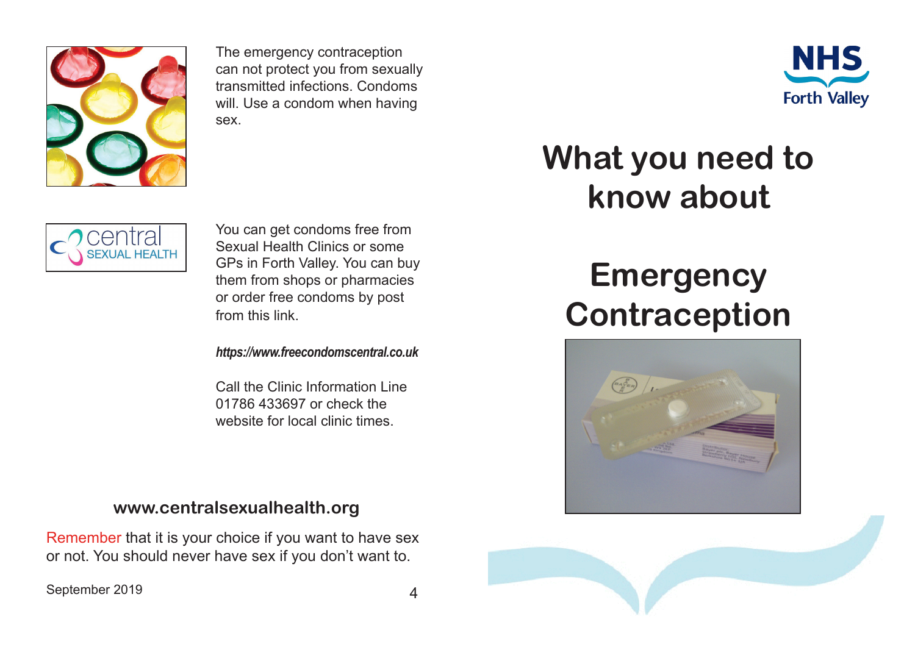

The emergency contraception can not protect you from sexually transmitted infections. Condoms will. Use a condom when having sex.



# **What you need to know about**

## entral **SEXUAL HEALTH**

You can get condoms free from Sexual Health Clinics or some GPs in Forth Valley. You can buy them from shops or pharmacies or order free condoms by post from this link.

*https://www.freecondomscentral.co.uk*

Call the Clinic Information Line 01786 433697 or check the website for local clinic times.

### **www.centralsexualhealth.org**

Remember that it is your choice if you want to have sex or not. You should never have sex if you don't want to.

September 2019 and the september 2019

## **Emergency Contraception**